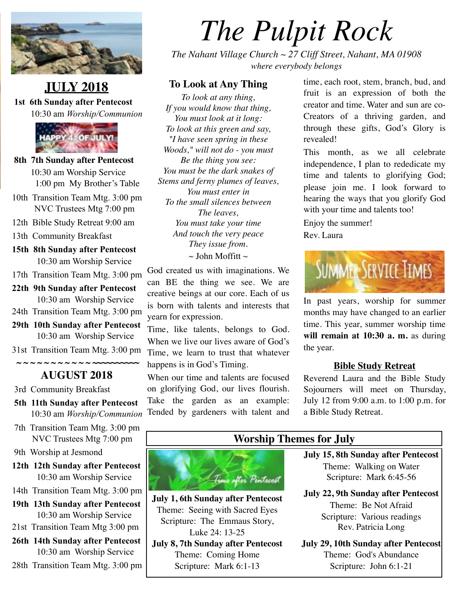

# **JULY 2018**

 **1st 6th Sunday after Pentecost**  10:30 am *Worship/Communion*



- **8th 7th Sunday after Pentecost**  10:30 am Worship Service 1:00 pm My Brother's Table
- 10th Transition Team Mtg. 3:00 pm NVC Trustees Mtg 7:00 pm
- 12th Bible Study Retreat 9:00 am
- 13th Community Breakfast
- **15th 8th Sunday after Pentecost** 10:30 am Worship Service
- 17th Transition Team Mtg. 3:00 pm
- **22th 9th Sunday after Pentecost**  10:30 am Worship Service
- 24th Transition Team Mtg. 3:00 pm
- **29th 10th Sunday after Pentecost**  10:30 am Worship Service
- 31st Transition Team Mtg. 3:00 pm

# **AUGUST 2018**

3rd Community Breakfast

 **~ ~ ~ ~ ~ ~ ~ ~ ~ ~ ~ ~~~~~~~~~~**

- **5th 11th Sunday after Pentecost**  10:30 am *Worship/Communion*
- 7th Transition Team Mtg. 3:00 pm NVC Trustees Mtg 7:00 pm

9th Worship at Jesmond

- **12th 12th Sunday after Pentecost**  10:30 am Worship Service
- 14th Transition Team Mtg. 3:00 pm
- **19th 13th Sunday after Pentecost**  10:30 am Worship Service
- 21st Transition Team Mtg 3:00 pm
- **26th 14th Sunday after Pentecost**  10:30 am Worship Service
- 28th Transition Team Mtg. 3:00 pm

# *The Pulpit Rock*

*The Nahant Village Church ~ 27 Cliff Street, Nahant, MA 01908 where everybody belongs*

### **To Look at Any Thing**

*To look at any thing, If you would know that thing, You must look at it long: To look at this green and say, "I have seen spring in these Woods," will not do - you must Be the thing you see: You must be the dark snakes of Stems and ferny plumes of leaves, You must enter in To the small silences between The leaves, You must take your time And touch the very peace They issue from.*  $\sim$  John Moffitt  $\sim$ 

God created us with imaginations. We can BE the thing we see. We are creative beings at our core. Each of us is born with talents and interests that yearn for expression.

Time, like talents, belongs to God. When we live our lives aware of God's Time, we learn to trust that whatever happens is in God's Timing.

When our time and talents are focused on glorifying God, our lives flourish. Take the garden as an example: Tended by gardeners with talent and time, each root, stem, branch, bud, and fruit is an expression of both the creator and time. Water and sun are co-Creators of a thriving garden, and through these gifts, God's Glory is revealed!

This month, as we all celebrate independence, I plan to rededicate my time and talents to glorifying God; please join me. I look forward to hearing the ways that you glorify God with your time and talents too!

Enjoy the summer! Rev. Laura



In past years, worship for summer months may have changed to an earlier time. This year, summer worship time **will remain at 10:30 a. m.** as during the year.

### **Bible Study Retreat**

Reverend Laura and the Bible Study Sojourners will meet on Thursday, July 12 from 9:00 a.m. to 1:00 p.m. for a Bible Study Retreat.



**July 1, 6th Sunday after Pentecost** Theme: Seeing with Sacred Eyes Scripture: The Emmaus Story, Luke 24: 13-25 **July 8, 7th Sunday after Pentecost**

Theme: Coming Home Scripture: Mark 6:1-13

# **Worship Themes for July**

**July 15, 8th Sunday after Pentecost** Theme: Walking on Water Scripture: Mark 6:45-56

**July 22, 9th Sunday after Pentecost** Theme: Be Not Afraid Scripture: Various readings Rev. Patricia Long

**July 29, 10th Sunday after Pentecost** Theme: God's Abundance Scripture: John 6:1-21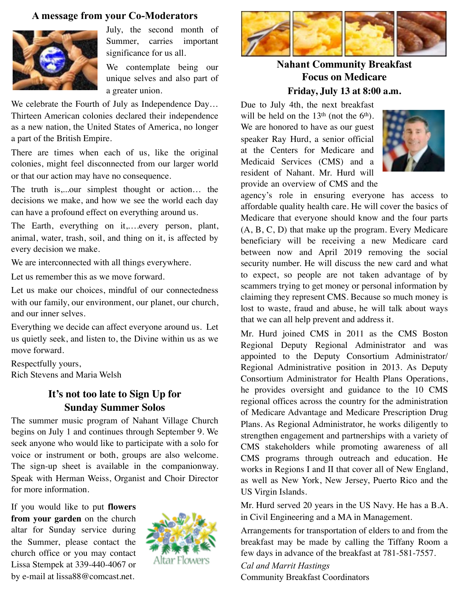#### **A message from your Co-Moderators**



July, the second month of Summer, carries important significance for us all.

We contemplate being our unique selves and also part of a greater union.

We celebrate the Fourth of July as Independence Day... Thirteen American colonies declared their independence as a new nation, the United States of America, no longer a part of the British Empire.

There are times when each of us, like the original colonies, might feel disconnected from our larger world or that our action may have no consequence.

The truth is,...our simplest thought or action… the decisions we make, and how we see the world each day can have a profound effect on everything around us.

The Earth, everything on it,….every person, plant, animal, water, trash, soil, and thing on it, is affected by every decision we make.

We are interconnected with all things everywhere.

Let us remember this as we move forward.

Let us make our choices, mindful of our connectedness with our family, our environment, our planet, our church, and our inner selves.

Everything we decide can affect everyone around us. Let us quietly seek, and listen to, the Divine within us as we move forward.

Respectfully yours, Rich Stevens and Maria Welsh

# **It's not too late to Sign Up for Sunday Summer Solos**

The summer music program of Nahant Village Church begins on July 1 and continues through September 9. We seek anyone who would like to participate with a solo for voice or instrument or both, groups are also welcome. The sign-up sheet is available in the companionway. Speak with Herman Weiss, Organist and Choir Director for more information.

If you would like to put **flowers from your garden** on the church altar for Sunday service during the Summer, please contact the church office or you may contact Lissa Stempek at 339-440-4067 or by e-mail at [lissa88@comcast.net.](mailto:lissa88@comcast.net)





**Nahant Community Breakfast Focus on Medicare Friday, July 13 at 8:00 a.m.**

Due to July 4th, the next breakfast will be held on the  $13<sup>th</sup>$  (not the  $6<sup>th</sup>$ ). We are honored to have as our guest speaker Ray Hurd, a senior official at the Centers for Medicare and Medicaid Services (CMS) and a resident of Nahant. Mr. Hurd will provide an overview of CMS and the



agency's role in ensuring everyone has access to affordable quality health care. He will cover the basics of Medicare that everyone should know and the four parts (A, B, C, D) that make up the program. Every Medicare beneficiary will be receiving a new Medicare card between now and April 2019 removing the social security number. He will discuss the new card and what to expect, so people are not taken advantage of by scammers trying to get money or personal information by claiming they represent CMS. Because so much money is lost to waste, fraud and abuse, he will talk about ways that we can all help prevent and address it.

Mr. Hurd joined CMS in 2011 as the CMS Boston Regional Deputy Regional Administrator and was appointed to the Deputy Consortium Administrator/ Regional Administrative position in 2013. As Deputy Consortium Administrator for Health Plans Operations, he provides oversight and guidance to the 10 CMS regional offices across the country for the administration of Medicare Advantage and Medicare Prescription Drug Plans. As Regional Administrator, he works diligently to strengthen engagement and partnerships with a variety of CMS stakeholders while promoting awareness of all CMS programs through outreach and education. He works in Regions I and II that cover all of New England, as well as New York, New Jersey, Puerto Rico and the US Virgin Islands.

Mr. Hurd served 20 years in the US Navy. He has a B.A. in Civil Engineering and a MA in Management.

Arrangements for transportation of elders to and from the breakfast may be made by calling the Tiffany Room a few days in advance of the breakfast at 781-581-7557.

*Cal and Marrit Hastings* Community Breakfast Coordinators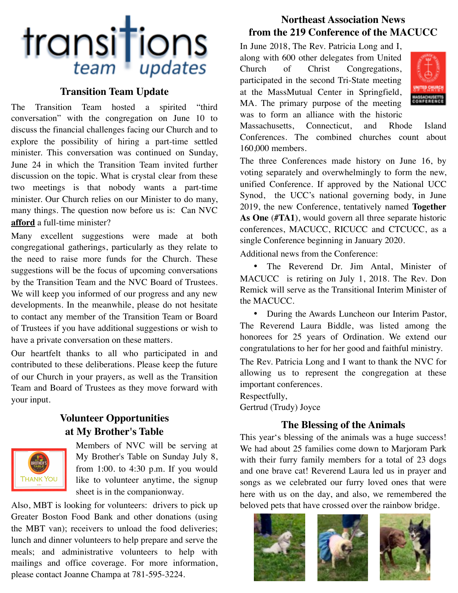# transitions

## **Transition Team Update**

The Transition Team hosted a spirited "third conversation" with the congregation on June 10 to discuss the financial challenges facing our Church and to explore the possibility of hiring a part-time settled minister. This conversation was continued on Sunday, June 24 in which the Transition Team invited further discussion on the topic. What is crystal clear from these two meetings is that nobody wants a part-time minister. Our Church relies on our Minister to do many, many things. The question now before us is: Can NVC **afford** a full-time minister?

Many excellent suggestions were made at both congregational gatherings, particularly as they relate to the need to raise more funds for the Church. These suggestions will be the focus of upcoming conversations by the Transition Team and the NVC Board of Trustees. We will keep you informed of our progress and any new developments. In the meanwhile, please do not hesitate to contact any member of the Transition Team or Board of Trustees if you have additional suggestions or wish to have a private conversation on these matters.

Our heartfelt thanks to all who participated in and contributed to these deliberations. Please keep the future of our Church in your prayers, as well as the Transition Team and Board of Trustees as they move forward with your input.

### **Volunteer Opportunities at My Brother's Table**



Members of NVC will be serving at My Brother's Table on Sunday July 8, from 1:00. to 4:30 p.m. If you would like to volunteer anytime, the signup sheet is in the companionway.

Also, MBT is looking for volunteers: drivers to pick up Greater Boston Food Bank and other donations (using the MBT van); receivers to unload the food deliveries; lunch and dinner volunteers to help prepare and serve the meals; and administrative volunteers to help with mailings and office coverage. For more information, please contact Joanne Champa at 781-595-3224.

# **Northeast Association News from the 219 Conference of the MACUCC**

In June 2018, The Rev. Patricia Long and I, along with 600 other delegates from United Church of Christ Congregations, participated in the second Tri-State meeting at the MassMutual Center in Springfield, MA. The primary purpose of the meeting was to form an alliance with the historic



Massachusetts, Connecticut, and Rhode Island Conferences. The combined churches count about 160,000 members.

The three Conferences made history on June 16, by voting separately and overwhelmingly to form the new, unified Conference. If approved by the National UCC Synod, the UCC's national governing body, in June 2019, the new Conference, tentatively named **Together As One** (**#TA1**), would govern all three separate historic conferences, MACUCC, RICUCC and CTCUCC, as a single Conference beginning in January 2020.

Additional news from the Conference:

• The Reverend Dr. Jim Antal, Minister of MACUCC is retiring on July 1, 2018. The Rev. Don Remick will serve as the Transitional Interim Minister of the MACUCC.

• During the Awards Luncheon our Interim Pastor, The Reverend Laura Biddle, was listed among the honorees for 25 years of Ordination. We extend our congratulations to her for her good and faithful ministry.

The Rev. Patricia Long and I want to thank the NVC for allowing us to represent the congregation at these important conferences.

Respectfully,

Gertrud (Trudy) Joyce

### **The Blessing of the Animals**

This year's blessing of the animals was a huge success! We had about 25 families come down to Marjoram Park with their furry family members for a total of 23 dogs and one brave cat! Reverend Laura led us in prayer and songs as we celebrated our furry loved ones that were here with us on the day, and also, we remembered the beloved pets that have crossed over the rainbow bridge.